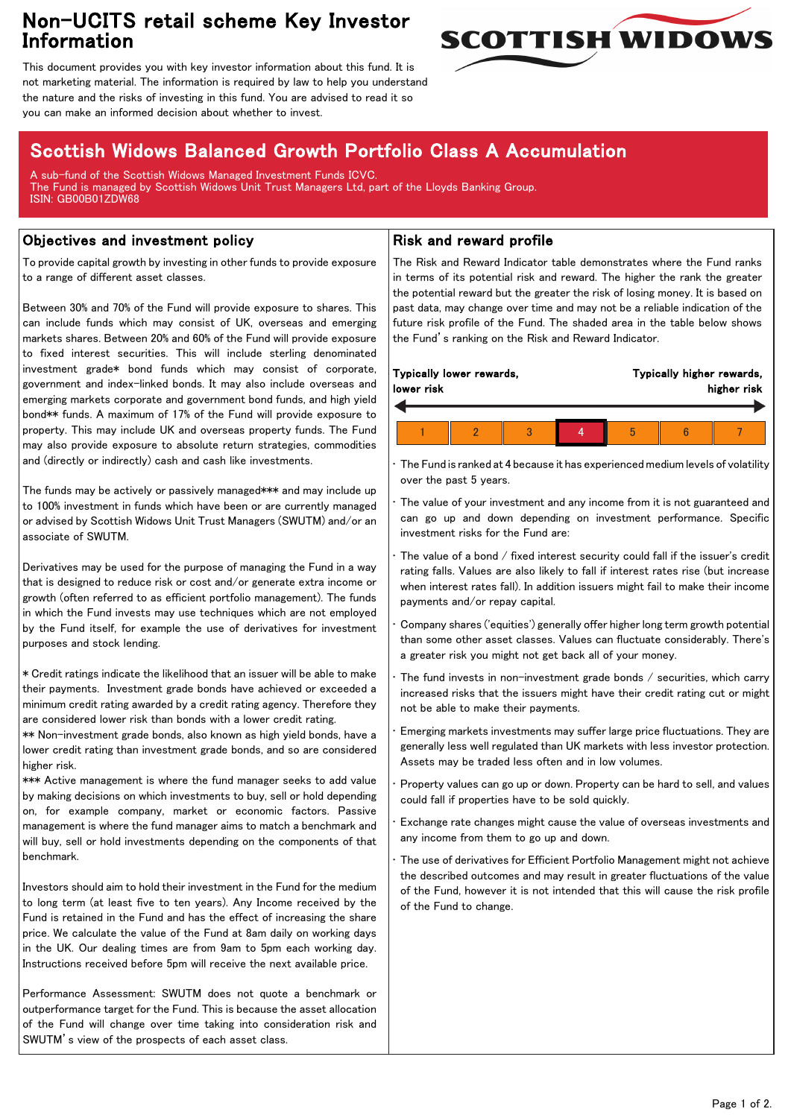## Non-UCITS retail scheme Key Investor Information



This document provides you with key investor information about this fund. It is not marketing material. The information is required by law to help you understand the nature and the risks of investing in this fund. You are advised to read it so you can make an informed decision about whether to invest.

# Scottish Widows Balanced Growth Portfolio Class A Accumulation

A sub-fund of the Scottish Widows Managed Investment Funds ICVC. The Fund is managed by Scottish Widows Unit Trust Managers Ltd, part of the Lloyds Banking Group. ISIN: GB00B01ZDW68

### Objectives and investment policy

To provide capital growth by investing in other funds to provide exposure to a range of different asset classes.

Between 30% and 70% of the Fund will provide exposure to shares. This can include funds which may consist of UK, overseas and emerging markets shares. Between 20% and 60% of the Fund will provide exposure to fixed interest securities. This will include sterling denominated investment grade\* bond funds which may consist of corporate, government and index-linked bonds. It may also include overseas and emerging markets corporate and government bond funds, and high yield bond\*\* funds. A maximum of 17% of the Fund will provide exposure to property. This may include UK and overseas property funds. The Fund may also provide exposure to absolute return strategies, commodities and (directly or indirectly) cash and cash like investments.

The funds may be actively or passively managed\*\*\* and may include up to 100% investment in funds which have been or are currently managed or advised by Scottish Widows Unit Trust Managers (SWUTM) and/or an associate of SWUTM.

Derivatives may be used for the purpose of managing the Fund in a way that is designed to reduce risk or cost and/or generate extra income or growth (often referred to as efficient portfolio management). The funds in which the Fund invests may use techniques which are not employed by the Fund itself, for example the use of derivatives for investment purposes and stock lending.

\* Credit ratings indicate the likelihood that an issuer will be able to make their payments. Investment grade bonds have achieved or exceeded a minimum credit rating awarded by a credit rating agency. Therefore they are considered lower risk than bonds with a lower credit rating.

\*\* Non-investment grade bonds, also known as high yield bonds, have a lower credit rating than investment grade bonds, and so are considered higher risk.

\*\*\* Active management is where the fund manager seeks to add value by making decisions on which investments to buy, sell or hold depending on, for example company, market or economic factors. Passive management is where the fund manager aims to match a benchmark and will buy, sell or hold investments depending on the components of that benchmark.

Investors should aim to hold their investment in the Fund for the medium to long term (at least five to ten years). Any Income received by the Fund is retained in the Fund and has the effect of increasing the share price. We calculate the value of the Fund at 8am daily on working days in the UK. Our dealing times are from 9am to 5pm each working day. Instructions received before 5pm will receive the next available price.

Performance Assessment: SWUTM does not quote a benchmark or outperformance target for the Fund. This is because the asset allocation of the Fund will change over time taking into consideration risk and SWUTM's view of the prospects of each asset class.

### Risk and reward profile

The Risk and Reward Indicator table demonstrates where the Fund ranks in terms of its potential risk and reward. The higher the rank the greater the potential reward but the greater the risk of losing money. It is based on past data, may change over time and may not be a reliable indication of the future risk profile of the Fund. The shaded area in the table below shows the Fund's ranking on the Risk and Reward Indicator.

| Typically lower rewards,<br>lower risk |  |  |  | Typically higher rewards,<br>higher risk |  |  |  |
|----------------------------------------|--|--|--|------------------------------------------|--|--|--|
|                                        |  |  |  |                                          |  |  |  |
|                                        |  |  |  | h                                        |  |  |  |

• The Fund is ranked at 4 because it has experienced medium levels of volatility over the past 5 years.

The value of your investment and any income from it is not guaranteed and can go up and down depending on investment performance. Specific investment risks for the Fund are:

• The value of a bond / fixed interest security could fall if the issuer's credit rating falls. Values are also likely to fall if interest rates rise (but increase when interest rates fall). In addition issuers might fail to make their income payments and/or repay capital.

• Company shares ('equities') generally offer higher long term growth potential than some other asset classes. Values can fluctuate considerably. There's a greater risk you might not get back all of your money.

The fund invests in non-investment grade bonds  $/$  securities, which carry increased risks that the issuers might have their credit rating cut or might not be able to make their payments.

• Emerging markets investments may suffer large price fluctuations. They are generally less well regulated than UK markets with less investor protection. Assets may be traded less often and in low volumes.

• Property values can go up or down. Property can be hard to sell, and values could fall if properties have to be sold quickly.

• Exchange rate changes might cause the value of overseas investments and any income from them to go up and down.

The use of derivatives for Efficient Portfolio Management might not achieve the described outcomes and may result in greater fluctuations of the value of the Fund, however it is not intended that this will cause the risk profile of the Fund to change.